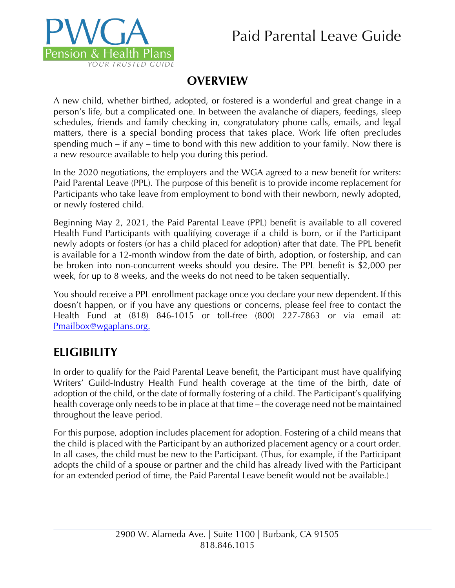# Paid Parental Leave Guide



# **OVERVIEW**

A new child, whether birthed, adopted, or fostered is a wonderful and great change in a person's life, but a complicated one. In between the avalanche of diapers, feedings, sleep schedules, friends and family checking in, congratulatory phone calls, emails, and legal matters, there is a special bonding process that takes place. Work life often precludes spending much – if any – time to bond with this new addition to your family. Now there is a new resource available to help you during this period.

In the 2020 negotiations, the employers and the WGA agreed to a new benefit for writers: Paid Parental Leave (PPL). The purpose of this benefit is to provide income replacement for Participants who take leave from employment to bond with their newborn, newly adopted, or newly fostered child.

Beginning May 2, 2021, the Paid Parental Leave (PPL) benefit is available to all covered Health Fund Participants with qualifying coverage if a child is born, or if the Participant newly adopts or fosters (or has a child placed for adoption) after that date. The PPL benefit is available for a 12-month window from the date of birth, adoption, or fostership, and can be broken into non-concurrent weeks should you desire. The PPL benefit is \$2,000 per week, for up to 8 weeks, and the weeks do not need to be taken sequentially.

You should receive a PPL enrollment package once you declare your new dependent. If this doesn't happen, or if you have any questions or concerns, please feel free to contact the Health Fund at (818) 846-1015 or toll-free (800) 227-7863 or via email at: Pmailbox@wgaplans.org.

# **ELIGIBILITY**

In order to qualify for the Paid Parental Leave benefit, the Participant must have qualifying Writers' Guild-Industry Health Fund health coverage at the time of the birth, date of adoption of the child, or the date of formally fostering of a child. The Participant's qualifying health coverage only needs to be in place at that time – the coverage need not be maintained throughout the leave period.

For this purpose, adoption includes placement for adoption. Fostering of a child means that the child is placed with the Participant by an authorized placement agency or a court order. In all cases, the child must be new to the Participant. (Thus, for example, if the Participant adopts the child of a spouse or partner and the child has already lived with the Participant for an extended period of time, the Paid Parental Leave benefit would not be available.)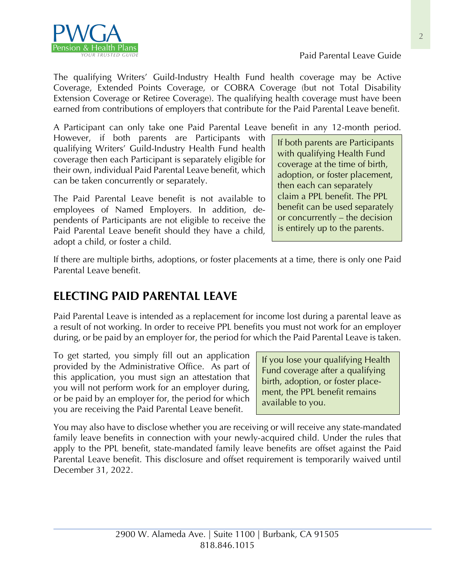

The qualifying Writers' Guild-Industry Health Fund health coverage may be Active Coverage, Extended Points Coverage, or COBRA Coverage (but not Total Disability Extension Coverage or Retiree Coverage). The qualifying health coverage must have been earned from contributions of employers that contribute for the Paid Parental Leave benefit.

A Participant can only take one Paid Parental Leave benefit in any 12-month period.

However, if both parents are Participants with qualifying Writers' Guild-Industry Health Fund health coverage then each Participant is separately eligible for their own, individual Paid Parental Leave benefit, which can be taken concurrently or separately.

The Paid Parental Leave benefit is not available to employees of Named Employers. In addition, dependents of Participants are not eligible to receive the Paid Parental Leave benefit should they have a child, adopt a child, or foster a child.

If both parents are Participants with qualifying Health Fund coverage at the time of birth, adoption, or foster placement, then each can separately claim a PPL benefit. The PPL benefit can be used separately or concurrently – the decision is entirely up to the parents.

Paid Parental Leave Guide

If there are multiple births, adoptions, or foster placements at a time, there is only one Paid Parental Leave benefit.

# **ELECTING PAID PARENTAL LEAVE**

Paid Parental Leave is intended as a replacement for income lost during a parental leave as a result of not working. In order to receive PPL benefits you must not work for an employer during, or be paid by an employer for, the period for which the Paid Parental Leave is taken.

To get started, you simply fill out an application provided by the Administrative Office. As part of this application, you must sign an attestation that you will not perform work for an employer during, or be paid by an employer for, the period for which you are receiving the Paid Parental Leave benefit.

If you lose your qualifying Health Fund coverage after a qualifying birth, adoption, or foster placement, the PPL benefit remains available to you.

You may also have to disclose whether you are receiving or will receive any state-mandated family leave benefits in connection with your newly-acquired child. Under the rules that apply to the PPL benefit, state-mandated family leave benefits are offset against the Paid Parental Leave benefit. This disclosure and offset requirement is temporarily waived until December 31, 2022.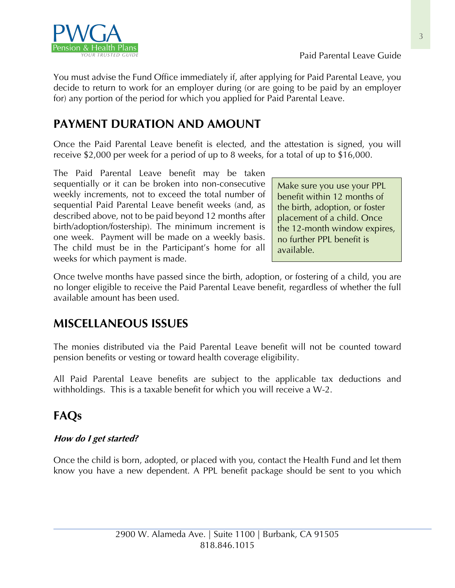

You must advise the Fund Office immediately if, after applying for Paid Parental Leave, you decide to return to work for an employer during (or are going to be paid by an employer for) any portion of the period for which you applied for Paid Parental Leave.

# **PAYMENT DURATION AND AMOUNT**

Once the Paid Parental Leave benefit is elected, and the attestation is signed, you will receive \$2,000 per week for a period of up to 8 weeks, for a total of up to \$16,000.

The Paid Parental Leave benefit may be taken sequentially or it can be broken into non-consecutive weekly increments, not to exceed the total number of sequential Paid Parental Leave benefit weeks (and, as described above, not to be paid beyond 12 months after birth/adoption/fostership). The minimum increment is one week. Payment will be made on a weekly basis. The child must be in the Participant's home for all weeks for which payment is made.

Make sure you use your PPL benefit within 12 months of the birth, adoption, or foster placement of a child. Once the 12-month window expires, no further PPL benefit is available.

Once twelve months have passed since the birth, adoption, or fostering of a child, you are no longer eligible to receive the Paid Parental Leave benefit, regardless of whether the full available amount has been used.

# **MISCELLANEOUS ISSUES**

The monies distributed via the Paid Parental Leave benefit will not be counted toward pension benefits or vesting or toward health coverage eligibility.

All Paid Parental Leave benefits are subject to the applicable tax deductions and withholdings. This is a taxable benefit for which you will receive a W-2.

# **FAQs**

## **How do I get started?**

Once the child is born, adopted, or placed with you, contact the Health Fund and let them know you have a new dependent. A PPL benefit package should be sent to you which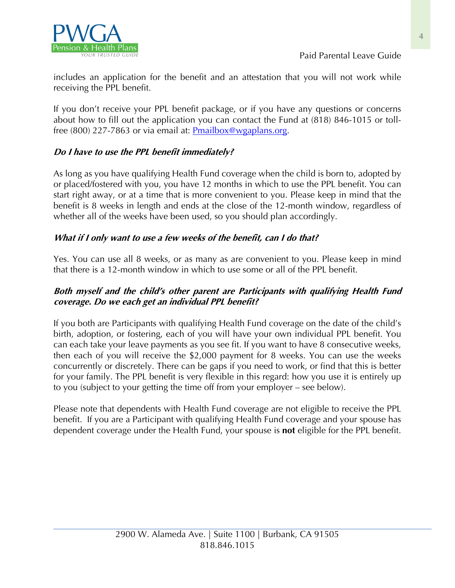

includes an application for the benefit and an attestation that you will not work while receiving the PPL benefit.

If you don't receive your PPL benefit package, or if you have any questions or concerns about how to fill out the application you can contact the Fund at (818) 846-1015 or tollfree (800) 227-7863 or via email at: Pmailbox@wgaplans.org.

## **Do I have to use the PPL benefit immediately?**

As long as you have qualifying Health Fund coverage when the child is born to, adopted by or placed/fostered with you, you have 12 months in which to use the PPL benefit. You can start right away, or at a time that is more convenient to you. Please keep in mind that the benefit is 8 weeks in length and ends at the close of the 12-month window, regardless of whether all of the weeks have been used, so you should plan accordingly.

## **What if I only want to use a few weeks of the benefit, can I do that?**

Yes. You can use all 8 weeks, or as many as are convenient to you. Please keep in mind that there is a 12-month window in which to use some or all of the PPL benefit.

## **Both myself and the child's other parent are Participants with qualifying Health Fund coverage. Do we each get an individual PPL benefit?**

If you both are Participants with qualifying Health Fund coverage on the date of the child's birth, adoption, or fostering, each of you will have your own individual PPL benefit. You can each take your leave payments as you see fit. If you want to have 8 consecutive weeks, then each of you will receive the \$2,000 payment for 8 weeks. You can use the weeks concurrently or discretely. There can be gaps if you need to work, or find that this is better for your family. The PPL benefit is very flexible in this regard: how you use it is entirely up to you (subject to your getting the time off from your employer – see below).

Please note that dependents with Health Fund coverage are not eligible to receive the PPL benefit. If you are a Participant with qualifying Health Fund coverage and your spouse has dependent coverage under the Health Fund, your spouse is **not** eligible for the PPL benefit.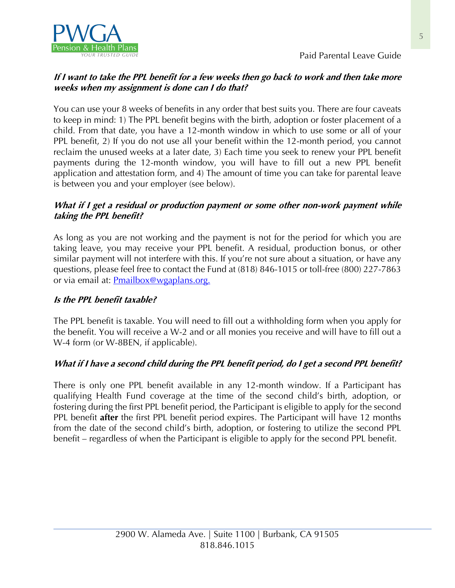

Paid Parental Leave Guide

## **If I want to take the PPL benefit for a few weeks then go back to work and then take more weeks when my assignment is done can I do that?**

You can use your 8 weeks of benefits in any order that best suits you. There are four caveats to keep in mind: 1) The PPL benefit begins with the birth, adoption or foster placement of a child. From that date, you have a 12-month window in which to use some or all of your PPL benefit, 2) If you do not use all your benefit within the 12-month period, you cannot reclaim the unused weeks at a later date, 3) Each time you seek to renew your PPL benefit payments during the 12-month window, you will have to fill out a new PPL benefit application and attestation form, and 4) The amount of time you can take for parental leave is between you and your employer (see below).

### **What if I get a residual or production payment or some other non-work payment while taking the PPL benefit?**

As long as you are not working and the payment is not for the period for which you are taking leave, you may receive your PPL benefit. A residual, production bonus, or other similar payment will not interfere with this. If you're not sure about a situation, or have any questions, please feel free to contact the Fund at (818) 846-1015 or toll-free (800) 227-7863 or via email at: **Pmailbox@wgaplans.org.** 

### **Is the PPL benefit taxable?**

The PPL benefit is taxable. You will need to fill out a withholding form when you apply for the benefit. You will receive a W-2 and or all monies you receive and will have to fill out a W-4 form (or W-8BEN, if applicable).

## **What if I have a second child during the PPL benefit period, do I get a second PPL benefit?**

There is only one PPL benefit available in any 12-month window. If a Participant has qualifying Health Fund coverage at the time of the second child's birth, adoption, or fostering during the first PPL benefit period, the Participant is eligible to apply for the second PPL benefit **after** the first PPL benefit period expires. The Participant will have 12 months from the date of the second child's birth, adoption, or fostering to utilize the second PPL benefit – regardless of when the Participant is eligible to apply for the second PPL benefit.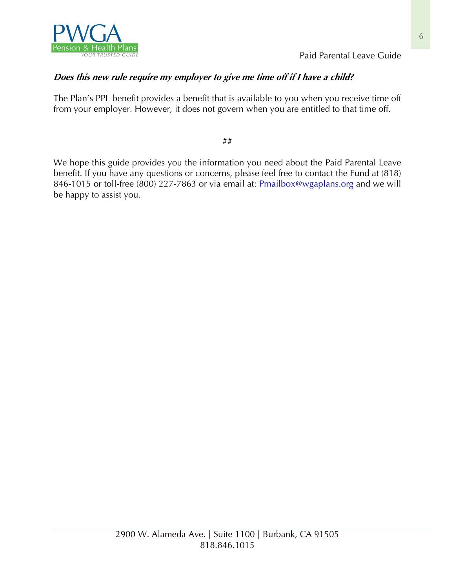

Paid Parental Leave Guide

## **Does this new rule require my employer to give me time off if I have a child?**

The Plan's PPL benefit provides a benefit that is available to you when you receive time off from your employer. However, it does not govern when you are entitled to that time off.

##

We hope this guide provides you the information you need about the Paid Parental Leave benefit. If you have any questions or concerns, please feel free to contact the Fund at (818) 846-1015 or toll-free (800) 227-7863 or via email at: **Pmailbox@wgaplans.org** and we will be happy to assist you.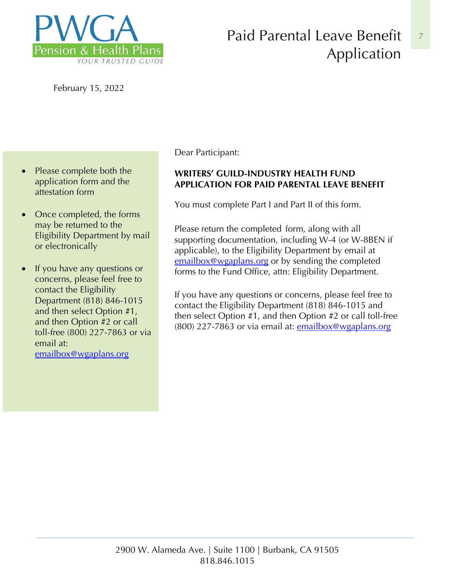

# Paid Parental Leave Benefit Application

February 15, 2022

- Please complete both the application form and the attestation form
- Once completed, the forms may be returned to the Eligibility Department by mail or electronically
- If you have any questions or concerns, please feel free to contact the Eligibility Department (818) 846-1015 and then select Option #1, and then Option #2 or call toll-free (800) 227-7863 or via email at: emailbox@wgaplans.org

Dear Participant:

## **WRITERS' GUILD-INDUSTRY HEALTH FUND APPLICATION FOR PAID PARENTAL LEAVE BENEFIT**

You must complete Part I and Part II of this form.

Please return the completed form, along with all supporting documentation, including W-4 (or W-8BEN if applicable), to the Eligibility Department by email at emailbox@wgaplans.org or by sending the completed forms to the Fund Office, attn: Eligibility Department.

If you have any questions or concerns, please feel free to contact the Eligibility Department (818) 846-1015 and then select Option #1, and then Option #2 or call toll-free (800) 227-7863 or via email at: emailbox@wgaplans.org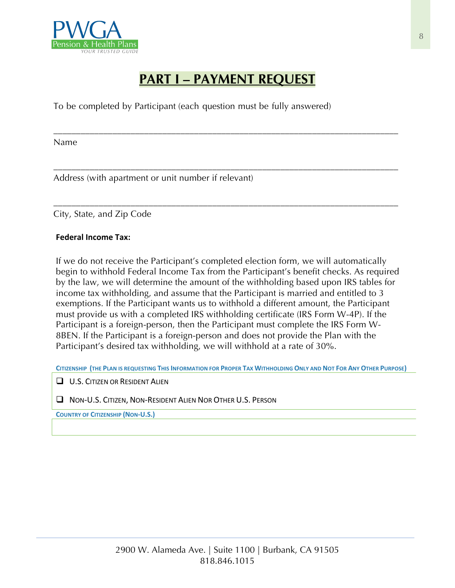

# **PART I – PAYMENT REQUEST**

\_\_\_\_\_\_\_\_\_\_\_\_\_\_\_\_\_\_\_\_\_\_\_\_\_\_\_\_\_\_\_\_\_\_\_\_\_\_\_\_\_\_\_\_\_\_\_\_\_\_\_\_\_\_\_\_\_\_\_\_\_\_\_\_\_\_\_\_\_\_\_\_\_\_\_\_

\_\_\_\_\_\_\_\_\_\_\_\_\_\_\_\_\_\_\_\_\_\_\_\_\_\_\_\_\_\_\_\_\_\_\_\_\_\_\_\_\_\_\_\_\_\_\_\_\_\_\_\_\_\_\_\_\_\_\_\_\_\_\_\_\_\_\_\_\_\_\_\_\_\_\_\_

\_\_\_\_\_\_\_\_\_\_\_\_\_\_\_\_\_\_\_\_\_\_\_\_\_\_\_\_\_\_\_\_\_\_\_\_\_\_\_\_\_\_\_\_\_\_\_\_\_\_\_\_\_\_\_\_\_\_\_\_\_\_\_\_\_\_\_\_\_\_\_\_\_\_\_\_

To be completed by Participant (each question must be fully answered)

Name

Address (with apartment or unit number if relevant)

City, State, and Zip Code

#### **Federal Income Tax:**

If we do not receive the Participant's completed election form, we will automatically begin to withhold Federal Income Tax from the Participant's benefit checks. As required by the law, we will determine the amount of the withholding based upon IRS tables for income tax withholding, and assume that the Participant is married and entitled to 3 exemptions. If the Participant wants us to withhold a different amount, the Participant must provide us with a completed IRS withholding certificate (IRS Form W-4P). If the Participant is a foreign-person, then the Participant must complete the IRS Form W-8BEN. If the Participant is a foreign-person and does not provide the Plan with the Participant's desired tax withholding, we will withhold at a rate of 30%.

**CITIZENSHIP (THE PLAN IS REQUESTING THIS INFORMATION FOR PROPER TAX WITHHOLDING ONLY AND NOT FOR ANY OTHER PURPOSE)** 

**Q U.S. CITIZEN OR RESIDENT ALIEN** 

**Q NON-U.S. CITIZEN, NON-RESIDENT ALIEN NOR OTHER U.S. PERSON** 

**COUNTRY OF CITIZENSHIP (NON-U.S.)**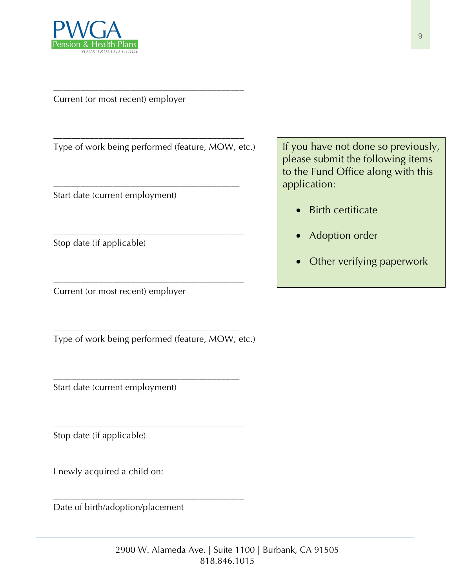

Current (or most recent) employer

Type of work being performed (feature, MOW, etc.)

\_\_\_\_\_\_\_\_\_\_\_\_\_\_\_\_\_\_\_\_\_\_\_\_\_\_\_\_\_\_\_\_\_\_\_\_\_\_\_\_\_\_

\_\_\_\_\_\_\_\_\_\_\_\_\_\_\_\_\_\_\_\_\_\_\_\_\_\_\_\_\_\_\_\_\_\_\_\_\_\_\_\_\_

\_\_\_\_\_\_\_\_\_\_\_\_\_\_\_\_\_\_\_\_\_\_\_\_\_\_\_\_\_\_\_\_\_\_\_\_\_\_\_\_\_\_

\_\_\_\_\_\_\_\_\_\_\_\_\_\_\_\_\_\_\_\_\_\_\_\_\_\_\_\_\_\_\_\_\_\_\_\_\_\_\_\_\_\_

\_\_\_\_\_\_\_\_\_\_\_\_\_\_\_\_\_\_\_\_\_\_\_\_\_\_\_\_\_\_\_\_\_\_\_\_\_\_\_\_\_\_

Start date (current employment)

Stop date (if applicable)

Current (or most recent) employer

Type of work being performed (feature, MOW, etc.)

\_\_\_\_\_\_\_\_\_\_\_\_\_\_\_\_\_\_\_\_\_\_\_\_\_\_\_\_\_\_\_\_\_\_\_\_\_\_\_\_\_

\_\_\_\_\_\_\_\_\_\_\_\_\_\_\_\_\_\_\_\_\_\_\_\_\_\_\_\_\_\_\_\_\_\_\_\_\_\_\_\_\_

\_\_\_\_\_\_\_\_\_\_\_\_\_\_\_\_\_\_\_\_\_\_\_\_\_\_\_\_\_\_\_\_\_\_\_\_\_\_\_\_\_\_

\_\_\_\_\_\_\_\_\_\_\_\_\_\_\_\_\_\_\_\_\_\_\_\_\_\_\_\_\_\_\_\_\_\_\_\_\_\_\_\_\_\_

Start date (current employment)

Stop date (if applicable)

I newly acquired a child on:

Date of birth/adoption/placement

If you have not done so previously, please submit the following items to the Fund Office along with this application:

- Birth certificate
- Adoption order
- Other verifying paperwork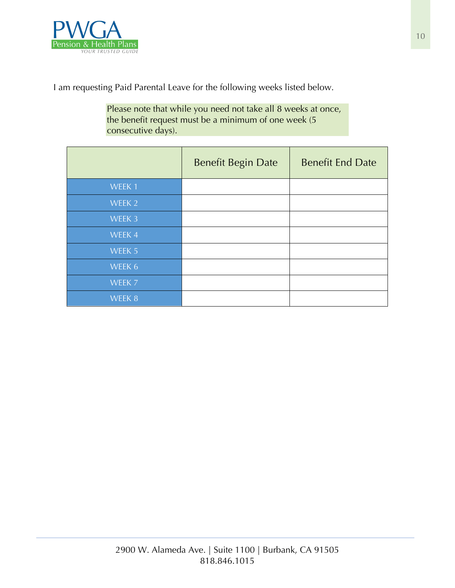

I am requesting Paid Parental Leave for the following weeks listed below.

Please note that while you need not take all 8 weeks at once, the benefit request must be a minimum of one week (5 consecutive days).

|        | <b>Benefit Begin Date</b> | <b>Benefit End Date</b> |
|--------|---------------------------|-------------------------|
| WEEK 1 |                           |                         |
| WEEK 2 |                           |                         |
| WEEK 3 |                           |                         |
| WEEK 4 |                           |                         |
| WEEK 5 |                           |                         |
| WEEK 6 |                           |                         |
| WEEK 7 |                           |                         |
| WEEK 8 |                           |                         |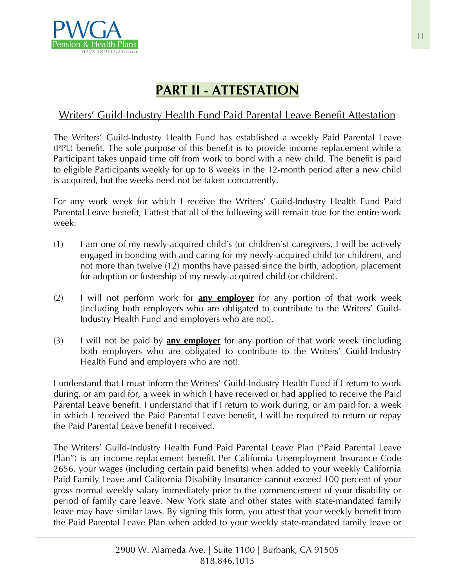

# **PART II - ATTESTATION**

# Writers' Guild-Industry Health Fund Paid Parental Leave Benefit Attestation

The Writers' Guild-Industry Health Fund has established a weekly Paid Parental Leave (PPL) benefit. The sole purpose of this benefit is to provide income replacement while a Participant takes unpaid time off from work to bond with a new child. The benefit is paid to eligible Participants weekly for up to 8 weeks in the 12-month period after a new child is acquired, but the weeks need not be taken concurrently.

For any work week for which I receive the Writers' Guild-Industry Health Fund Paid Parental Leave benefit, I attest that all of the following will remain true for the entire work week:

- (1) I am one of my newly-acquired child's (or children's) caregivers, I will be actively engaged in bonding with and caring for my newly-acquired child (or children), and not more than twelve (12) months have passed since the birth, adoption, placement for adoption or fostership of my newly-acquired child (or children).
- (2) I will not perform work for **any employer** for any portion of that work week (including both employers who are obligated to contribute to the Writers' Guild-Industry Health Fund and employers who are not).
- (3) I will not be paid by **any employer** for any portion of that work week (including both employers who are obligated to contribute to the Writers' Guild-Industry Health Fund and employers who are not).

I understand that I must inform the Writers' Guild-Industry Health Fund if I return to work during, or am paid for, a week in which I have received or had applied to receive the Paid Parental Leave benefit. I understand that if I return to work during, or am paid for, a week in which I received the Paid Parental Leave benefit, I will be required to return or repay the Paid Parental Leave benefit I received.

The Writers' Guild-Industry Health Fund Paid Parental Leave Plan ("Paid Parental Leave Plan") is an income replacement benefit. Per California Unemployment Insurance Code 2656, your wages (including certain paid benefits) when added to your weekly California Paid Family Leave and California Disability Insurance cannot exceed 100 percent of your gross normal weekly salary immediately prior to the commencement of your disability or period of family care leave. New York state and other states with state-mandated family leave may have similar laws. By signing this form, you attest that your weekly benefit from the Paid Parental Leave Plan when added to your weekly state-mandated family leave or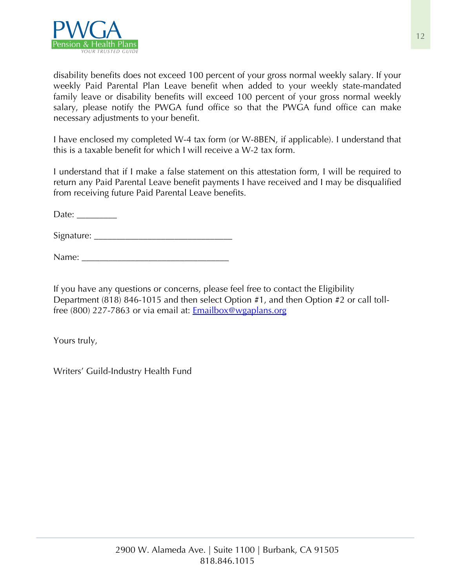

disability benefits does not exceed 100 percent of your gross normal weekly salary. If your weekly Paid Parental Plan Leave benefit when added to your weekly state-mandated family leave or disability benefits will exceed 100 percent of your gross normal weekly salary, please notify the PWGA fund office so that the PWGA fund office can make necessary adjustments to your benefit.

I have enclosed my completed W-4 tax form (or W-8BEN, if applicable). I understand that this is a taxable benefit for which I will receive a W-2 tax form.

I understand that if I make a false statement on this attestation form, I will be required to return any Paid Parental Leave benefit payments I have received and I may be disqualified from receiving future Paid Parental Leave benefits.

Date:  $\_\_$ 

Signature: \_\_\_\_\_\_\_\_\_\_\_\_\_\_\_\_\_\_\_\_\_\_\_\_\_\_\_\_\_\_\_

Name:

If you have any questions or concerns, please feel free to contact the Eligibility Department (818) 846-1015 and then select Option #1, and then Option #2 or call tollfree (800) 227-7863 or via email at: Emailbox@wgaplans.org

Yours truly,

Writers' Guild-Industry Health Fund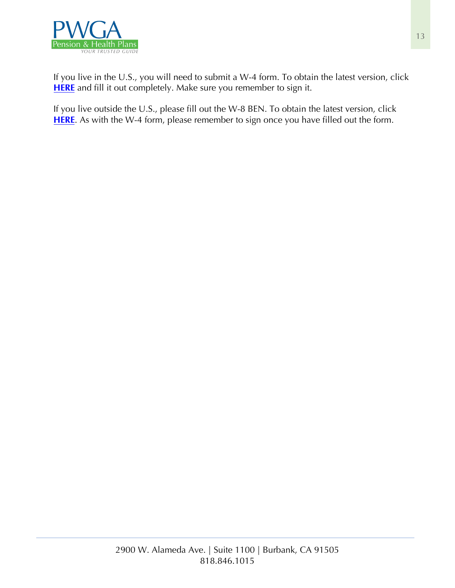

If you live in the U.S., you will need to submit a W-4 form. To obtain the latest version, click **[HERE](https://www.wgaplans.org/pension/forms/IRS_W-4.pdf)** and fill it out completely. Make sure you remember to sign it.

If you live outside the U.S., please fill out the W-8 BEN. To obtain the latest version, click **[HERE](https://www.wgaplans.org/pension/forms/IRS_W-8BEN.pdf)**. As with the W-4 form, please remember to sign once you have filled out the form.